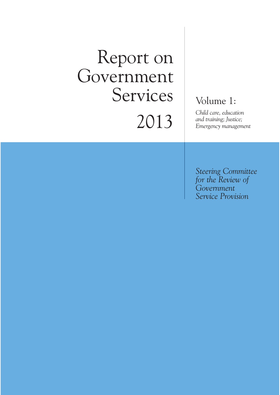# Report on Government Services 2013

### Volume 1:

*Child care, education and training; Justice; Emergency management*

*Steering Committee for the Review of Government Service Provision*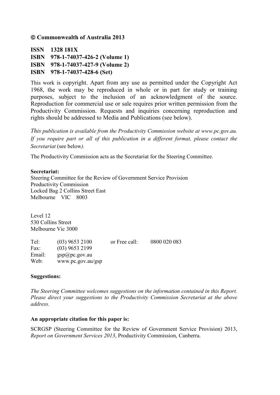**Commonwealth of Australia 2013**

**ISSN 1328 181X ISBN 978-1-74037-426-2 (Volume 1) ISBN 978-1-74037-427-9 (Volume 2) ISBN 978-1-74037-428-6 (Set)**

This work is copyright. Apart from any use as permitted under the Copyright Act 1968, the work may be reproduced in whole or in part for study or training purposes, subject to the inclusion of an acknowledgment of the source. Reproduction for commercial use or sale requires prior written permission from the Productivity Commission. Requests and inquiries concerning reproduction and rights should be addressed to Media and Publications (see below).

*This publication is available from the Productivity Commission website at www.pc.gov.au. If you require part or all of this publication in a different format, please contact the Secretariat* (see below*).*

The Productivity Commission acts as the Secretariat for the Steering Committee.

#### **Secretariat:**

Steering Committee for the Review of Government Service Provision Productivity Commission Locked Bag 2 Collins Street East Melbourne VIC 8003

Level 12 530 Collins Street Melbourne Vic 3000

Tel: (03) 9653 2100 or Free call: 0800 020 083 Fax: (03) 9653 2199 Email: gsp@pc.gov.au Web: www.pc.gov.au/gsp

#### **Suggestions:**

*The Steering Committee welcomes suggestions on the information contained in this Report. Please direct your suggestions to the Productivity Commission Secretariat at the above address.*

#### **An appropriate citation for this paper is:**

SCRGSP (Steering Committee for the Review of Government Service Provision) 2013, *Report on Government Services 2013*, Productivity Commission, Canberra.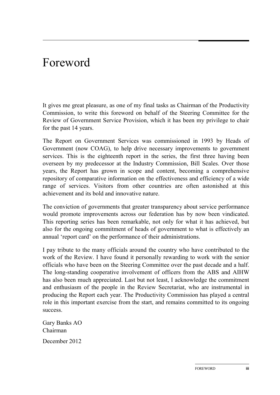### Foreword

It gives me great pleasure, as one of my final tasks as Chairman of the Productivity Commission, to write this foreword on behalf of the Steering Committee for the Review of Government Service Provision, which it has been my privilege to chair for the past 14 years.

The Report on Government Services was commissioned in 1993 by Heads of Government (now COAG), to help drive necessary improvements to government services. This is the eighteenth report in the series, the first three having been overseen by my predecessor at the Industry Commission, Bill Scales. Over those years, the Report has grown in scope and content, becoming a comprehensive repository of comparative information on the effectiveness and efficiency of a wide range of services. Visitors from other countries are often astonished at this achievement and its bold and innovative nature.

The conviction of governments that greater transparency about service performance would promote improvements across our federation has by now been vindicated. This reporting series has been remarkable, not only for what it has achieved, but also for the ongoing commitment of heads of government to what is effectively an annual 'report card' on the performance of their administrations.

I pay tribute to the many officials around the country who have contributed to the work of the Review. I have found it personally rewarding to work with the senior officials who have been on the Steering Committee over the past decade and a half. The long-standing cooperative involvement of officers from the ABS and AIHW has also been much appreciated. Last but not least, I acknowledge the commitment and enthusiasm of the people in the Review Secretariat, who are instrumental in producing the Report each year. The Productivity Commission has played a central role in this important exercise from the start, and remains committed to its ongoing success.

Gary Banks AO Chairman December 2012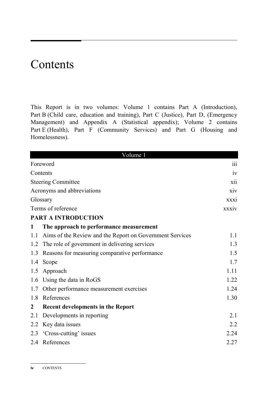### Contents

This Report is in two volumes: Volume 1 contains Part A (Introduction), Part B (Child care, education and training), Part C (Justice), Part D, (Emergency Management) and Appendix A (Statistical appendix); Volume 2 contains Part E (Health), Part F (Community Services) and Part G (Housing and Homelessness).

| Volume 1         |                                                          |       |
|------------------|----------------------------------------------------------|-------|
|                  | Foreword                                                 | 111   |
|                  | Contents                                                 | iv    |
|                  | <b>Steering Committee</b>                                | xii   |
|                  | Acronyms and abbreviations                               | xiv   |
|                  | Glossary                                                 | XXX1  |
|                  | Terms of reference                                       | xxxiv |
|                  | <b>PART A INTRODUCTION</b>                               |       |
| 1                | The approach to performance measurement                  |       |
| 1.1              | Aims of the Review and the Report on Government Services | 1.1   |
| 1.2              | The role of government in delivering services            | 1.3   |
| 1.3              | Reasons for measuring comparative performance            | 1.5   |
| 1.4              | Scope                                                    | 1.7   |
| 1.5              | Approach                                                 | 1.11  |
| 1.6              | Using the data in RoGS                                   | 1.22  |
| 1.7              | Other performance measurement exercises                  | 1.24  |
| 1.8              | References                                               | 1.30  |
| $\boldsymbol{2}$ | <b>Recent developments in the Report</b>                 |       |
| 2.1              | Developments in reporting                                | 2.1   |
| 2.2              | Key data issues                                          | 2.2   |
|                  | 2.3 'Cross-cutting' issues                               | 2.24  |
|                  | 2.4 References                                           | 2.27  |
|                  |                                                          |       |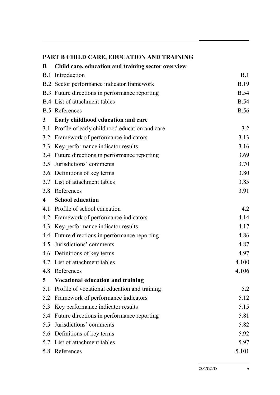### **PART B CHILD CARE, EDUCATION AND TRAINING**

| B                       | Child care, education and training sector overview |             |
|-------------------------|----------------------------------------------------|-------------|
|                         | <b>B.1</b> Introduction                            | B.1         |
|                         | B.2 Sector performance indicator framework         | <b>B.19</b> |
|                         | B.3 Future directions in performance reporting     | <b>B.54</b> |
|                         | B.4 List of attachment tables                      | <b>B.54</b> |
|                         | <b>B.5</b> References                              | <b>B.56</b> |
| 3 <sup>1</sup>          | Early childhood education and care                 |             |
|                         | 3.1 Profile of early childhood education and care  | 3.2         |
| 3.2                     | Framework of performance indicators                | 3.13        |
|                         | 3.3 Key performance indicator results              | 3.16        |
|                         | 3.4 Future directions in performance reporting     | 3.69        |
| 3.5                     | Jurisdictions' comments                            | 3.70        |
|                         | 3.6 Definitions of key terms                       | 3.80        |
|                         | 3.7 List of attachment tables                      | 3.85        |
|                         | 3.8 References                                     | 3.91        |
| $\overline{\mathbf{4}}$ | <b>School education</b>                            |             |
|                         | 4.1 Profile of school education                    | 4.2         |
|                         | 4.2 Framework of performance indicators            | 4.14        |
| 4.3                     | Key performance indicator results                  | 4.17        |
| 4.4                     | Future directions in performance reporting         | 4.86        |
| 4.5                     | Jurisdictions' comments                            | 4.87        |
|                         | 4.6 Definitions of key terms                       | 4.97        |
|                         | 4.7 List of attachment tables                      | 4.100       |
|                         | 4.8 References                                     | 4.106       |
| 5                       | <b>Vocational education and training</b>           |             |
| 5.1                     | Profile of vocational education and training       | 5.2         |
| 5.2                     | Framework of performance indicators                | 5.12        |
| 5.3                     | Key performance indicator results                  | 5.15        |
| 5.4                     | Future directions in performance reporting         | 5.81        |
| 5.5                     | Jurisdictions' comments                            | 5.82        |
| 5.6                     | Definitions of key terms                           | 5.92        |
| 5.7                     | List of attachment tables                          | 5.97        |
| 5.8                     | References                                         | 5.101       |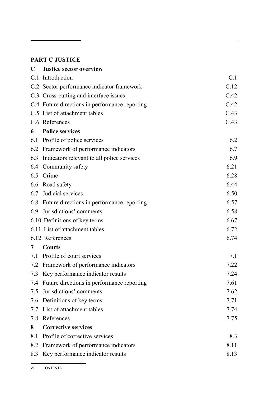### **PART C JUSTICE**

| $\mathbf C$ | <b>Justice sector overview</b>                 |      |
|-------------|------------------------------------------------|------|
|             | C.1 Introduction                               | C.1  |
|             | C.2 Sector performance indicator framework     | C.12 |
|             | C.3 Cross-cutting and interface issues         | C.42 |
|             | C.4 Future directions in performance reporting | C.42 |
|             | C.5 List of attachment tables                  | C.43 |
|             | C.6 References                                 | C.43 |
| 6           | <b>Police services</b>                         |      |
|             | 6.1 Profile of police services                 | 6.2  |
|             | 6.2 Framework of performance indicators        | 6.7  |
| 6.3         | Indicators relevant to all police services     | 6.9  |
|             | 6.4 Community safety                           | 6.21 |
|             | 6.5 Crime                                      | 6.28 |
| 6.6         | Road safety                                    | 6.44 |
| 6.7         | Judicial services                              | 6.50 |
| 6.8         | Future directions in performance reporting     | 6.57 |
| 6.9         | Jurisdictions' comments                        | 6.58 |
|             | 6.10 Definitions of key terms                  | 6.67 |
|             | 6.11 List of attachment tables                 | 6.72 |
|             | 6.12 References                                | 6.74 |
| 7           | <b>Courts</b>                                  |      |
|             | 7.1 Profile of court services                  | 7.1  |
|             | 7.2 Framework of performance indicators        | 7.22 |
|             | 7.3 Key performance indicator results          | 7.24 |
| 7.4         | Future directions in performance reporting     | 7.61 |
| 7.5         | Jurisdictions' comments                        | 7.62 |
| 7.6         | Definitions of key terms                       | 7.71 |
| 7.7         | List of attachment tables                      | 7.74 |
| 7.8         | References                                     | 7.75 |
| 8           | <b>Corrective services</b>                     |      |
| 8.1         | Profile of corrective services                 | 8.3  |
| 8.2         | Framework of performance indicators            | 8.11 |
| 8.3         | Key performance indicator results              | 8.13 |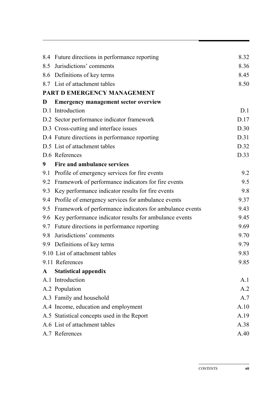|     | 8.4 Future directions in performance reporting           | 8.32 |
|-----|----------------------------------------------------------|------|
|     | 8.5 Jurisdictions' comments                              | 8.36 |
|     | 8.6 Definitions of key terms                             | 8.45 |
|     | 8.7 List of attachment tables                            | 8.50 |
|     | PART D EMERGENCY MANAGEMENT                              |      |
| D   | <b>Emergency management sector overview</b>              |      |
|     | D.1 Introduction                                         | D.1  |
|     | D.2 Sector performance indicator framework               | D.17 |
|     | D.3 Cross-cutting and interface issues                   | D.30 |
|     | D.4 Future directions in performance reporting           | D.31 |
|     | D.5 List of attachment tables                            | D.32 |
|     | D.6 References                                           | D.33 |
| 9   | Fire and ambulance services                              |      |
| 9.1 | Profile of emergency services for fire events            | 9.2  |
| 9.2 | Framework of performance indicators for fire events      | 9.5  |
| 9.3 | Key performance indicator results for fire events        | 9.8  |
| 9.4 | Profile of emergency services for ambulance events       | 9.37 |
| 9.5 | Framework of performance indicators for ambulance events | 9.43 |
| 9.6 | Key performance indicator results for ambulance events   | 9.45 |
| 9.7 | Future directions in performance reporting               | 9.69 |
| 9.8 | Jurisdictions' comments                                  | 9.70 |
|     | 9.9 Definitions of key terms                             | 9.79 |
|     | 9.10 List of attachment tables                           | 9.83 |
|     | 9.11 References                                          | 9.85 |
| A   | <b>Statistical appendix</b>                              |      |
|     | A.1 Introduction                                         | A.1  |
|     | A.2 Population                                           | A.2  |
|     | A.3 Family and household                                 | A.7  |
|     | A.4 Income, education and employment                     | A.10 |
|     | A.5 Statistical concepts used in the Report              | A.19 |
|     | A.6 List of attachment tables                            | A.38 |
|     | A.7 References                                           | A.40 |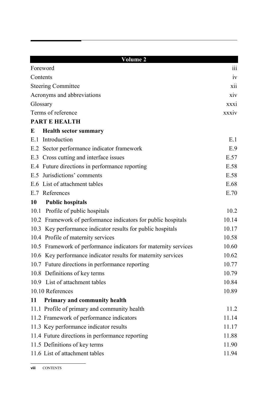|           | <b>Volume 2</b>                                                 |                  |
|-----------|-----------------------------------------------------------------|------------------|
|           | Foreword                                                        | 111              |
| Contents  |                                                                 | 1V               |
|           | <b>Steering Committee</b>                                       | xii              |
|           | Acronyms and abbreviations                                      | X <sub>1</sub> V |
| Glossary  |                                                                 | XXX1             |
|           | Terms of reference                                              | xxxiv            |
|           | <b>PART E HEALTH</b>                                            |                  |
| E         | <b>Health sector summary</b>                                    |                  |
|           | E.1 Introduction                                                | E.1              |
|           | E.2 Sector performance indicator framework                      | E.9              |
|           | E.3 Cross cutting and interface issues                          | E.57             |
|           | E.4 Future directions in performance reporting                  | E.58             |
|           | E.5 Jurisdictions' comments                                     | E.58             |
|           | E.6 List of attachment tables                                   | E.68             |
|           | E.7 References                                                  | E.70             |
| <b>10</b> | <b>Public hospitals</b>                                         |                  |
|           | 10.1 Profile of public hospitals                                | 10.2             |
|           | 10.2 Framework of performance indicators for public hospitals   | 10.14            |
|           | 10.3 Key performance indicator results for public hospitals     | 10.17            |
|           | 10.4 Profile of maternity services                              | 10.58            |
|           | 10.5 Framework of performance indicators for maternity services | 10.60            |
|           | 10.6 Key performance indicator results for maternity services   | 10.62            |
|           | 10.7 Future directions in performance reporting                 | 10.77            |
|           | 10.8 Definitions of key terms                                   | 10.79            |
|           | 10.9 List of attachment tables                                  | 10.84            |
|           | 10.10 References                                                | 10.89            |
| 11        | Primary and community health                                    |                  |
|           | 11.1 Profile of primary and community health                    | 11.2             |
|           | 11.2 Framework of performance indicators                        | 11.14            |
|           | 11.3 Key performance indicator results                          | 11.17            |
|           | 11.4 Future directions in performance reporting                 | 11.88            |
|           | 11.5 Definitions of key terms                                   | 11.90            |
|           | 11.6 List of attachment tables                                  | 11.94            |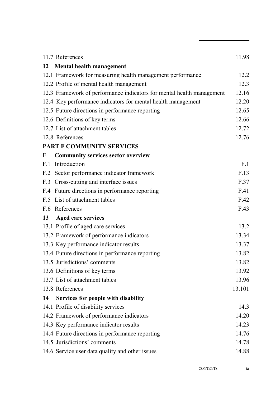| 11.7 References                                                       | 11.98  |
|-----------------------------------------------------------------------|--------|
| 12<br><b>Mental health management</b>                                 |        |
| 12.1 Framework for measuring health management performance            | 12.2   |
| 12.2 Profile of mental health management                              | 12.3   |
| 12.3 Framework of performance indicators for mental health management | 12.16  |
| 12.4 Key performance indicators for mental health management          | 12.20  |
| 12.5 Future directions in performance reporting                       | 12.65  |
| 12.6 Definitions of key terms                                         | 12.66  |
| 12.7 List of attachment tables                                        | 12.72  |
| 12.8 References                                                       | 12.76  |
| PART F COMMUNITY SERVICES                                             |        |
| <b>Community services sector overview</b><br>$\mathbf{F}$             |        |
| Introduction<br>F.1                                                   | F.1    |
| F.2 Sector performance indicator framework                            | F.13   |
| F.3 Cross-cutting and interface issues                                | F.37   |
| F.4 Future directions in performance reporting                        | F.41   |
| F.5 List of attachment tables                                         | F.42   |
| F.6 References                                                        | F.43   |
| <b>Aged care services</b><br>13                                       |        |
| 13.1 Profile of aged care services                                    | 13.2   |
| 13.2 Framework of performance indicators                              | 13.34  |
| 13.3 Key performance indicator results                                | 13.37  |
| 13.4 Future directions in performance reporting                       | 13.82  |
| 13.5 Jurisdictions' comments                                          | 13.82  |
| 13.6 Definitions of key terms                                         | 13.92  |
| 13.7 List of attachment tables                                        | 13.96  |
| 13.8 References                                                       | 13.101 |
| Services for people with disability<br>14                             |        |
| 14.1 Profile of disability services                                   | 14.3   |
| 14.2 Framework of performance indicators                              | 14.20  |
| 14.3 Key performance indicator results                                | 14.23  |
| 14.4 Future directions in performance reporting                       | 14.76  |
| 14.5 Jurisdictions' comments                                          | 14.78  |
| 14.6 Service user data quality and other issues                       | 14.88  |

CONTENTS **ix**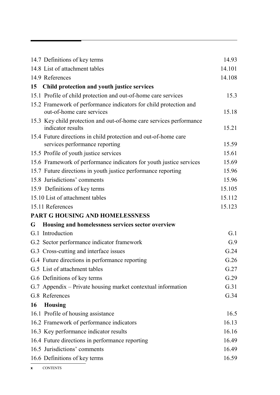|           | 14.7 Definitions of key terms                                                            | 14.93  |
|-----------|------------------------------------------------------------------------------------------|--------|
|           | 14.8 List of attachment tables                                                           | 14.101 |
|           | 14.9 References                                                                          | 14.108 |
| 15        | Child protection and youth justice services                                              |        |
|           | 15.1 Profile of child protection and out-of-home care services                           | 15.3   |
|           | 15.2 Framework of performance indicators for child protection and                        |        |
|           | out-of-home care services                                                                | 15.18  |
|           | 15.3 Key child protection and out-of-home care services performance<br>indicator results | 15.21  |
|           | 15.4 Future directions in child protection and out-of-home care                          |        |
|           | services performance reporting                                                           | 15.59  |
|           | 15.5 Profile of youth justice services                                                   | 15.61  |
|           | 15.6 Framework of performance indicators for youth justice services                      | 15.69  |
|           | 15.7 Future directions in youth justice performance reporting                            | 15.96  |
|           | 15.8 Jurisdictions' comments                                                             | 15.96  |
|           | 15.9 Definitions of key terms                                                            | 15.105 |
|           | 15.10 List of attachment tables                                                          | 15.112 |
|           | 15.11 References                                                                         | 15.123 |
|           | PART G HOUSING AND HOMELESSNESS                                                          |        |
| G         | Housing and homelessness services sector overview                                        |        |
|           | G.1 Introduction                                                                         | G.1    |
|           | G.2 Sector performance indicator framework                                               | G.9    |
|           | G.3 Cross-cutting and interface issues                                                   | G.24   |
|           | G.4 Future directions in performance reporting                                           | G.26   |
|           | G.5 List of attachment tables                                                            | G.27   |
|           | G.6 Definitions of key terms                                                             | G.29   |
|           | G.7 Appendix – Private housing market contextual information                             | G.31   |
|           | G.8 References                                                                           | G.34   |
| <b>16</b> | <b>Housing</b>                                                                           |        |
|           | 16.1 Profile of housing assistance                                                       | 16.5   |
|           | 16.2 Framework of performance indicators                                                 | 16.13  |
|           | 16.3 Key performance indicator results                                                   | 16.16  |
|           | 16.4 Future directions in performance reporting                                          | 16.49  |
|           | 16.5 Jurisdictions' comments                                                             | 16.49  |
|           | 16.6 Definitions of key terms                                                            | 16.59  |
|           |                                                                                          |        |

**x** CONTENTS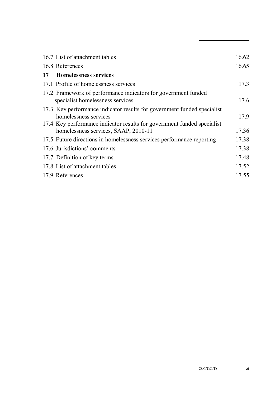|    | 16.7 List of attachment tables                                          | 16.62 |
|----|-------------------------------------------------------------------------|-------|
|    | 16.8 References                                                         | 16.65 |
| 17 | <b>Homelessness services</b>                                            |       |
|    | 17.1 Profile of homelessness services                                   | 17.3  |
|    | 17.2 Framework of performance indicators for government funded          |       |
|    | specialist homelessness services                                        | 17.6  |
|    | 17.3 Key performance indicator results for government funded specialist |       |
|    | homelessness services                                                   | 17.9  |
|    | 17.4 Key performance indicator results for government funded specialist |       |
|    | homelessness services, SAAP, 2010-11                                    | 17.36 |
|    | 17.5 Future directions in homelessness services performance reporting   | 17.38 |
|    | 17.6 Jurisdictions' comments                                            | 17.38 |
|    | 17.7 Definition of key terms                                            | 17.48 |
|    | 17.8 List of attachment tables                                          | 17.52 |
|    | 17.9 References                                                         | 17.55 |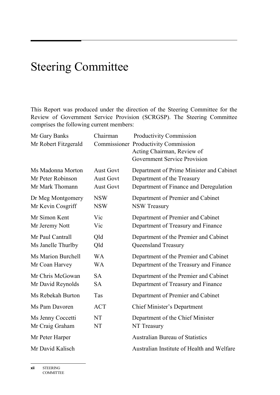# Steering Committee

This Report was produced under the direction of the Steering Committee for the Review of Government Service Provision (SCRGSP). The Steering Committee comprises the following current members:

| Mr Gary Banks<br>Mr Robert Fitzgerald | Chairman         | Productivity Commission<br><b>Commissioner Productivity Commission</b><br>Acting Chairman, Review of<br><b>Government Service Provision</b> |
|---------------------------------------|------------------|---------------------------------------------------------------------------------------------------------------------------------------------|
| Ms Madonna Morton                     | <b>Aust Govt</b> | Department of Prime Minister and Cabinet                                                                                                    |
| Mr Peter Robinson                     | <b>Aust Govt</b> | Department of the Treasury                                                                                                                  |
| Mr Mark Thomann                       | <b>Aust Govt</b> | Department of Finance and Deregulation                                                                                                      |
| Dr Meg Montgomery                     | <b>NSW</b>       | Department of Premier and Cabinet                                                                                                           |
| Mr Kevin Cosgriff                     | <b>NSW</b>       | <b>NSW Treasury</b>                                                                                                                         |
| Mr Simon Kent                         | Vic              | Department of Premier and Cabinet                                                                                                           |
| Mr Jeremy Nott                        | Vic              | Department of Treasury and Finance                                                                                                          |
| Mr Paul Cantrall                      | Qld              | Department of the Premier and Cabinet                                                                                                       |
| Ms Janelle Thurlby                    | Qld              | Queensland Treasury                                                                                                                         |
| <b>Ms Marion Burchell</b>             | <b>WA</b>        | Department of the Premier and Cabinet                                                                                                       |
| Mr Coan Harvey                        | <b>WA</b>        | Department of the Treasury and Finance                                                                                                      |
| Mr Chris McGowan                      | <b>SA</b>        | Department of the Premier and Cabinet                                                                                                       |
| Mr David Reynolds                     | <b>SA</b>        | Department of Treasury and Finance                                                                                                          |
| Ms Rebekah Burton                     | Tas              | Department of Premier and Cabinet                                                                                                           |
| Ms Pam Davoren                        | <b>ACT</b>       | <b>Chief Minister's Department</b>                                                                                                          |
| Ms Jenny Coccetti                     | NT               | Department of the Chief Minister                                                                                                            |
| Mr Craig Graham                       | <b>NT</b>        | NT Treasury                                                                                                                                 |
| Mr Peter Harper                       |                  | <b>Australian Bureau of Statistics</b>                                                                                                      |
| Mr David Kalisch                      |                  | Australian Institute of Health and Welfare                                                                                                  |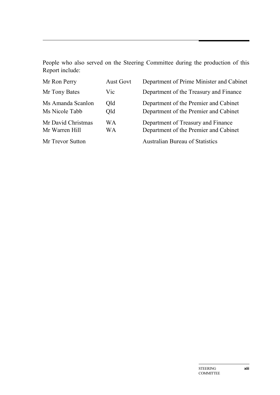People who also served on the Steering Committee during the production of this Report include:

| Mr Ron Perry                         | <b>Aust Govt</b> | Department of Prime Minister and Cabinet                                       |
|--------------------------------------|------------------|--------------------------------------------------------------------------------|
| Mr Tony Bates                        | Vic              | Department of the Treasury and Finance                                         |
| Ms Amanda Scanlon<br>Ms Nicole Tabb  | Qld<br>Old       | Department of the Premier and Cabinet<br>Department of the Premier and Cabinet |
| Mr David Christmas<br>Mr Warren Hill | WA<br>WA         | Department of Treasury and Finance<br>Department of the Premier and Cabinet    |
| Mr Trevor Sutton                     |                  | <b>Australian Bureau of Statistics</b>                                         |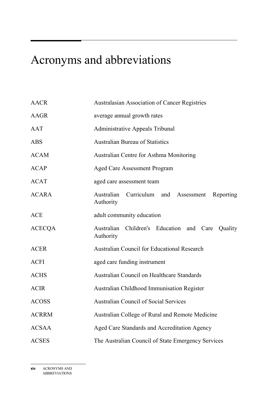# Acronyms and abbreviations

| <b>AACR</b>   | <b>Australasian Association of Cancer Registries</b>             |
|---------------|------------------------------------------------------------------|
| AAGR          | average annual growth rates                                      |
| AAT           | <b>Administrative Appeals Tribunal</b>                           |
| <b>ABS</b>    | <b>Australian Bureau of Statistics</b>                           |
| <b>ACAM</b>   | Australian Centre for Asthma Monitoring                          |
| <b>ACAP</b>   | <b>Aged Care Assessment Program</b>                              |
| <b>ACAT</b>   | aged care assessment team                                        |
| <b>ACARA</b>  | Australian Curriculum and Assessment Reporting<br>Authority      |
| <b>ACE</b>    | adult community education                                        |
| <b>ACECQA</b> | Australian Children's Education and Care<br>Quality<br>Authority |
| <b>ACER</b>   | <b>Australian Council for Educational Research</b>               |
| <b>ACFI</b>   | aged care funding instrument                                     |
| <b>ACHS</b>   | Australian Council on Healthcare Standards                       |
| <b>ACIR</b>   | <b>Australian Childhood Immunisation Register</b>                |
| <b>ACOSS</b>  | <b>Australian Council of Social Services</b>                     |
| <b>ACRRM</b>  | Australian College of Rural and Remote Medicine                  |
| <b>ACSAA</b>  | Aged Care Standards and Accreditation Agency                     |
| <b>ACSES</b>  | The Australian Council of State Emergency Services               |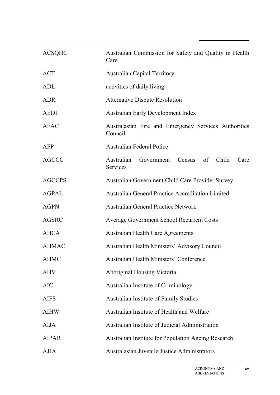| <b>ACSQHC</b> | Australian Commission for Safety and Quality in Health<br>Care         |
|---------------|------------------------------------------------------------------------|
| <b>ACT</b>    | <b>Australian Capital Territory</b>                                    |
| ADL           | activities of daily living                                             |
| <b>ADR</b>    | <b>Alternative Dispute Resolution</b>                                  |
| <b>AEDI</b>   | <b>Australian Early Development Index</b>                              |
| <b>AFAC</b>   | Australasian Fire and Emergency Services Authorities<br>Council        |
| AFP           | <b>Australian Federal Police</b>                                       |
| <b>AGCCC</b>  | Australian<br>Census of Child<br>Government<br>Care<br><b>Services</b> |
| <b>AGCCPS</b> | Australian Government Child Care Provider Survey                       |
| <b>AGPAL</b>  | <b>Australian General Practice Accreditation Limited</b>               |
| <b>AGPN</b>   | <b>Australian General Practice Network</b>                             |
| <b>AGSRC</b>  | <b>Average Government School Recurrent Costs</b>                       |
| <b>AHCA</b>   | <b>Australian Health Care Agreements</b>                               |
| <b>AHMAC</b>  | Australian Health Ministers' Advisory Council                          |
| <b>AHMC</b>   | <b>Australian Health Ministers' Conference</b>                         |
| <b>AHV</b>    | Aboriginal Housing Victoria                                            |
| <b>AIC</b>    | Australian Institute of Criminology                                    |
| <b>AIFS</b>   | <b>Australian Institute of Family Studies</b>                          |
| <b>AIHW</b>   | Australian Institute of Health and Welfare                             |
| <b>AIJA</b>   | Australian Institute of Judicial Administration                        |
| <b>AIPAR</b>  | <b>Australian Institute for Population Ageing Research</b>             |
| AJJA          | Australasian Juvenile Justice Administrators                           |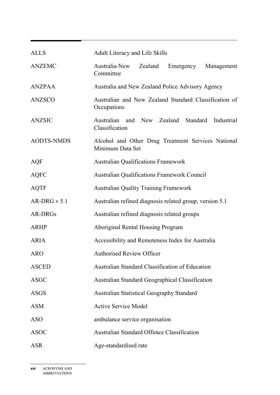| <b>ALLS</b>       | <b>Adult Literacy and Life Skills</b>                                  |
|-------------------|------------------------------------------------------------------------|
| <b>ANZEMC</b>     | Australia-New<br>Zealand<br>Emergency<br>Management<br>Committee       |
| <b>ANZPAA</b>     | Australia and New Zealand Police Advisory Agency                       |
| <b>ANZSCO</b>     | Australian and New Zealand Standard Classification of<br>Occupations   |
| <b>ANZSIC</b>     | Australian and New Zealand<br>Standard<br>Industrial<br>Classification |
| <b>AODTS-NMDS</b> | Alcohol and Other Drug Treatment Services National<br>Minimum Data Set |
| AQF               | <b>Australian Qualifications Framework</b>                             |
| <b>AQFC</b>       | <b>Australian Qualifications Framework Council</b>                     |
| <b>AQTF</b>       | <b>Australian Quality Training Framework</b>                           |
| AR-DRG $v$ 5.1    | Australian refined diagnosis related group, version 5.1                |
| AR-DRGs           | Australian refined diagnosis related groups                            |
| <b>ARHP</b>       | <b>Aboriginal Rental Housing Program</b>                               |
| <b>ARIA</b>       | Accessibility and Remoteness Index for Australia                       |
| <b>ARO</b>        | <b>Authorised Review Officer</b>                                       |
| <b>ASCED</b>      | <b>Australian Standard Classification of Education</b>                 |
| <b>ASGC</b>       | <b>Australian Standard Geographical Classification</b>                 |
| <b>ASGS</b>       | <b>Australian Statistical Geography Standard</b>                       |
| <b>ASM</b>        | <b>Active Service Model</b>                                            |
| <b>ASO</b>        | ambulance service organisation                                         |
| <b>ASOC</b>       | <b>Australian Standard Offence Classification</b>                      |
| <b>ASR</b>        | Age-standardised rate                                                  |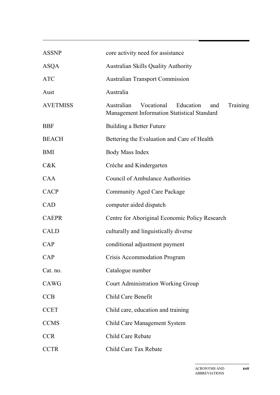| <b>ASSNP</b>    | core activity need for assistance                                                                       |
|-----------------|---------------------------------------------------------------------------------------------------------|
| <b>ASQA</b>     | <b>Australian Skills Quality Authority</b>                                                              |
| <b>ATC</b>      | <b>Australian Transport Commission</b>                                                                  |
| Aust            | Australia                                                                                               |
| <b>AVETMISS</b> | Vocational<br>Education<br>Training<br>Australian<br>and<br>Management Information Statistical Standard |
| <b>BBF</b>      | Building a Better Future                                                                                |
| <b>BEACH</b>    | Bettering the Evaluation and Care of Health                                                             |
| BMI             | <b>Body Mass Index</b>                                                                                  |
| C&K             | Crèche and Kindergarten                                                                                 |
| <b>CAA</b>      | <b>Council of Ambulance Authorities</b>                                                                 |
| <b>CACP</b>     | <b>Community Aged Care Package</b>                                                                      |
| <b>CAD</b>      | computer aided dispatch                                                                                 |
| <b>CAEPR</b>    | Centre for Aboriginal Economic Policy Research                                                          |
| <b>CALD</b>     | culturally and linguistically diverse                                                                   |
| CAP             | conditional adjustment payment                                                                          |
| CAP             | <b>Crisis Accommodation Program</b>                                                                     |
| Cat. no.        | Catalogue number                                                                                        |
| CAWG            | <b>Court Administration Working Group</b>                                                               |
| <b>CCB</b>      | Child Care Benefit                                                                                      |
| <b>CCET</b>     | Child care, education and training                                                                      |
| <b>CCMS</b>     | <b>Child Care Management System</b>                                                                     |
| <b>CCR</b>      | Child Care Rebate                                                                                       |
| <b>CCTR</b>     | Child Care Tax Rebate                                                                                   |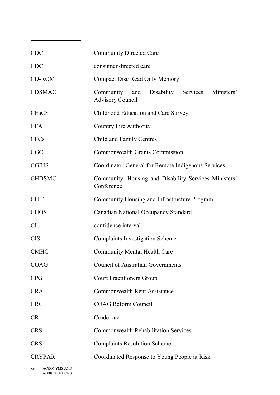| <b>CDC</b>    | <b>Community Directed Care</b>                                                   |
|---------------|----------------------------------------------------------------------------------|
| <b>CDC</b>    | consumer directed care                                                           |
| CD-ROM        | <b>Compact Disc Read Only Memory</b>                                             |
| <b>CDSMAC</b> | Community<br>Disability Services<br>Ministers'<br>and<br><b>Advisory Council</b> |
| <b>CEaCS</b>  | Childhood Education and Care Survey                                              |
| <b>CFA</b>    | <b>Country Fire Authority</b>                                                    |
| <b>CFCs</b>   | Child and Family Centres                                                         |
| <b>CGC</b>    | <b>Commonwealth Grants Commission</b>                                            |
| <b>CGRIS</b>  | Coordinator-General for Remote Indigenous Services                               |
| <b>CHDSMC</b> | Community, Housing and Disability Services Ministers'<br>Conference              |
| <b>CHIP</b>   | Community Housing and Infrastructure Program                                     |
| <b>CHOS</b>   | <b>Canadian National Occupancy Standard</b>                                      |
| <b>CI</b>     | confidence interval                                                              |
| <b>CIS</b>    | <b>Complaints Investigation Scheme</b>                                           |
| <b>CMHC</b>   | <b>Community Mental Health Care</b>                                              |
| <b>COAG</b>   | <b>Council of Australian Governments</b>                                         |
| <b>CPG</b>    | <b>Court Practitioners Group</b>                                                 |
| <b>CRA</b>    | <b>Commonwealth Rent Assistance</b>                                              |
| <b>CRC</b>    | <b>COAG Reform Council</b>                                                       |
| <b>CR</b>     | Crude rate                                                                       |
| <b>CRS</b>    | <b>Commonwealth Rehabilitation Services</b>                                      |
| <b>CRS</b>    | <b>Complaints Resolution Scheme</b>                                              |
| <b>CRYPAR</b> | Coordinated Response to Young People at Risk                                     |
|               |                                                                                  |

**xviii** ACRONYMS AND ABBREVIATIONS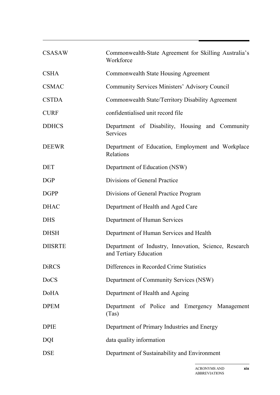| <b>CSASAW</b>  | Commonwealth-State Agreement for Skilling Australia's<br>Workforce              |
|----------------|---------------------------------------------------------------------------------|
| <b>CSHA</b>    | <b>Commonwealth State Housing Agreement</b>                                     |
| <b>CSMAC</b>   | <b>Community Services Ministers' Advisory Council</b>                           |
| <b>CSTDA</b>   | Commonwealth State/Territory Disability Agreement                               |
| <b>CURF</b>    | confidentialised unit record file                                               |
| <b>DDHCS</b>   | Department of Disability, Housing and Community<br>Services                     |
| <b>DEEWR</b>   | Department of Education, Employment and Workplace<br>Relations                  |
| <b>DET</b>     | Department of Education (NSW)                                                   |
| <b>DGP</b>     | Divisions of General Practice                                                   |
| <b>DGPP</b>    | Divisions of General Practice Program                                           |
| <b>DHAC</b>    | Department of Health and Aged Care                                              |
| <b>DHS</b>     | Department of Human Services                                                    |
| <b>DHSH</b>    | Department of Human Services and Health                                         |
| <b>DIISRTE</b> | Department of Industry, Innovation, Science, Research<br>and Tertiary Education |
| <b>DiRCS</b>   | Differences in Recorded Crime Statistics                                        |
| <b>DoCS</b>    | Department of Community Services (NSW)                                          |
| <b>DoHA</b>    | Department of Health and Ageing                                                 |
| <b>DPEM</b>    | Department of Police and Emergency Management<br>(Tas)                          |
| <b>DPIE</b>    | Department of Primary Industries and Energy                                     |
| <b>DQI</b>     | data quality information                                                        |
| <b>DSE</b>     | Department of Sustainability and Environment                                    |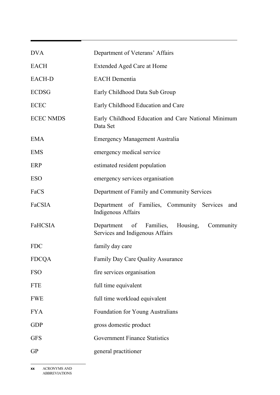| <b>DVA</b>       | Department of Veterans' Affairs                                                           |
|------------------|-------------------------------------------------------------------------------------------|
| <b>EACH</b>      | Extended Aged Care at Home                                                                |
| <b>EACH-D</b>    | <b>EACH</b> Dementia                                                                      |
| <b>ECDSG</b>     | Early Childhood Data Sub Group                                                            |
| <b>ECEC</b>      | Early Childhood Education and Care                                                        |
| <b>ECEC NMDS</b> | Early Childhood Education and Care National Minimum<br>Data Set                           |
| <b>EMA</b>       | <b>Emergency Management Australia</b>                                                     |
| <b>EMS</b>       | emergency medical service                                                                 |
| ERP              | estimated resident population                                                             |
| <b>ESO</b>       | emergency services organisation                                                           |
| FaCS             | Department of Family and Community Services                                               |
| FaCSIA           | Department of Families, Community Services<br>and<br>Indigenous Affairs                   |
| FaHCSIA          | Families,<br>Housing,<br>Department<br>of<br>Community<br>Services and Indigenous Affairs |
| <b>FDC</b>       | family day care                                                                           |
| <b>FDCQA</b>     | Family Day Care Quality Assurance                                                         |
| <b>FSO</b>       | fire services organisation                                                                |
| <b>FTE</b>       | full time equivalent                                                                      |
| <b>FWE</b>       | full time workload equivalent                                                             |
| <b>FYA</b>       | <b>Foundation for Young Australians</b>                                                   |
| <b>GDP</b>       | gross domestic product                                                                    |
| <b>GFS</b>       | <b>Government Finance Statistics</b>                                                      |
| <b>GP</b>        | general practitioner                                                                      |

**xx** ACRONYMS AND ABBREVIATIONS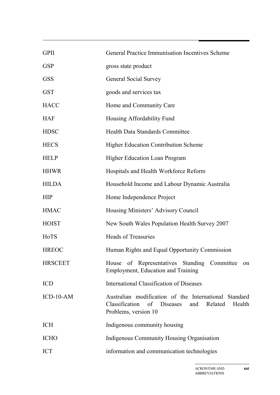| <b>GPII</b>    | General Practice Immunisation Incentives Scheme                                                                                         |
|----------------|-----------------------------------------------------------------------------------------------------------------------------------------|
| <b>GSP</b>     | gross state product                                                                                                                     |
| <b>GSS</b>     | <b>General Social Survey</b>                                                                                                            |
| <b>GST</b>     | goods and services tax                                                                                                                  |
| <b>HACC</b>    | Home and Community Care                                                                                                                 |
| <b>HAF</b>     | Housing Affordability Fund                                                                                                              |
| <b>HDSC</b>    | <b>Health Data Standards Committee</b>                                                                                                  |
| <b>HECS</b>    | <b>Higher Education Contribution Scheme</b>                                                                                             |
| <b>HELP</b>    | Higher Education Loan Program                                                                                                           |
| <b>HHWR</b>    | Hospitals and Health Workforce Reform                                                                                                   |
| <b>HILDA</b>   | Household Income and Labour Dynamic Australia                                                                                           |
| <b>HIP</b>     | Home Independence Project                                                                                                               |
| <b>HMAC</b>    | Housing Ministers' Advisory Council                                                                                                     |
| <b>HOIST</b>   | New South Wales Population Health Survey 2007                                                                                           |
| HoTS           | <b>Heads of Treasuries</b>                                                                                                              |
| <b>HREOC</b>   | Human Rights and Equal Opportunity Commission                                                                                           |
| <b>HRSCEET</b> | House of Representatives Standing Committee<br><sub>on</sub><br>Employment, Education and Training                                      |
| <b>ICD</b>     | International Classification of Diseases                                                                                                |
| $ICD-10-AM$    | Australian modification of the International Standard<br>Classification of Diseases<br>Related<br>Health<br>and<br>Problems, version 10 |
| ICH            | Indigenous community housing                                                                                                            |
| <b>ICHO</b>    | Indigenous Community Housing Organisation                                                                                               |
| <b>ICT</b>     | information and communication technologies                                                                                              |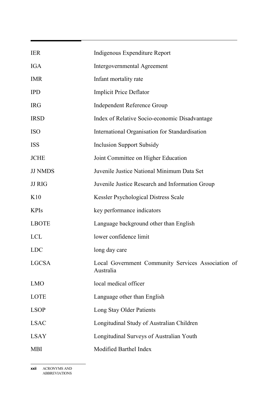| <b>IER</b>     | Indigenous Expenditure Report                                   |
|----------------|-----------------------------------------------------------------|
| <b>IGA</b>     | <b>Intergovernmental Agreement</b>                              |
| <b>IMR</b>     | Infant mortality rate                                           |
| <b>IPD</b>     | <b>Implicit Price Deflator</b>                                  |
| <b>IRG</b>     | <b>Independent Reference Group</b>                              |
| <b>IRSD</b>    | Index of Relative Socio-economic Disadvantage                   |
| <b>ISO</b>     | International Organisation for Standardisation                  |
| <b>ISS</b>     | <b>Inclusion Support Subsidy</b>                                |
| <b>JCHE</b>    | Joint Committee on Higher Education                             |
| <b>JJ NMDS</b> | Juvenile Justice National Minimum Data Set                      |
| <b>JJ RIG</b>  | Juvenile Justice Research and Information Group                 |
| K10            | Kessler Psychological Distress Scale                            |
| <b>KPIs</b>    | key performance indicators                                      |
| <b>LBOTE</b>   | Language background other than English                          |
| <b>LCL</b>     | lower confidence limit                                          |
| <b>LDC</b>     | long day care                                                   |
| <b>LGCSA</b>   | Local Government Community Services Association of<br>Australia |
| <b>LMO</b>     | local medical officer                                           |
| LOTE           | Language other than English                                     |
| <b>LSOP</b>    | Long Stay Older Patients                                        |
| <b>LSAC</b>    | Longitudinal Study of Australian Children                       |
| <b>LSAY</b>    | Longitudinal Surveys of Australian Youth                        |
| <b>MBI</b>     | Modified Barthel Index                                          |

**xxii** ACRONYMS AND ABBREVIATIONS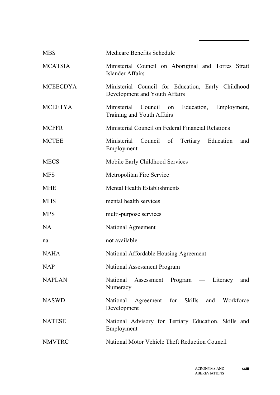| <b>MBS</b>      | <b>Medicare Benefits Schedule</b>                                                       |
|-----------------|-----------------------------------------------------------------------------------------|
| <b>MCATSIA</b>  | Ministerial Council on Aboriginal and Torres Strait<br>Islander Affairs                 |
| <b>MCEECDYA</b> | Ministerial Council for Education, Early Childhood<br>Development and Youth Affairs     |
| <b>MCEETYA</b>  | Ministerial<br>Council<br>Education,<br>Employment,<br>on<br>Training and Youth Affairs |
| <b>MCFFR</b>    | Ministerial Council on Federal Financial Relations                                      |
| <b>MCTEE</b>    | Ministerial<br>Council of<br>Tertiary Education<br>and<br>Employment                    |
| <b>MECS</b>     | Mobile Early Childhood Services                                                         |
| <b>MFS</b>      | Metropolitan Fire Service                                                               |
| <b>MHE</b>      | <b>Mental Health Establishments</b>                                                     |
| <b>MHS</b>      | mental health services                                                                  |
| <b>MPS</b>      | multi-purpose services                                                                  |
| <b>NA</b>       | National Agreement                                                                      |
| na              | not available                                                                           |
| NAHA            | National Affordable Housing Agreement                                                   |
| <b>NAP</b>      | National Assessment Program                                                             |
| <b>NAPLAN</b>   | National<br>Assessment Program — Literacy and<br>Numeracy                               |
| <b>NASWD</b>    | Agreement for Skills and Workforce<br>National<br>Development                           |
| <b>NATESE</b>   | National Advisory for Tertiary Education. Skills and<br>Employment                      |
| <b>NMVTRC</b>   | National Motor Vehicle Theft Reduction Council                                          |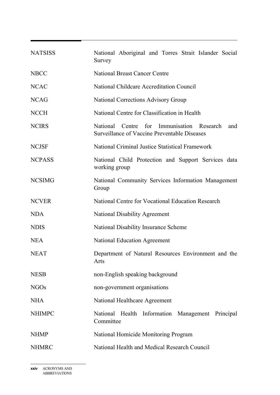| <b>NATSISS</b> | National Aboriginal and Torres Strait Islander Social<br>Survey                                            |
|----------------|------------------------------------------------------------------------------------------------------------|
| <b>NBCC</b>    | <b>National Breast Cancer Centre</b>                                                                       |
| <b>NCAC</b>    | National Childcare Accreditation Council                                                                   |
| <b>NCAG</b>    | <b>National Corrections Advisory Group</b>                                                                 |
| <b>NCCH</b>    | National Centre for Classification in Health                                                               |
| <b>NCIRS</b>   | Centre for Immunisation Research<br>National<br>and<br><b>Surveillance of Vaccine Preventable Diseases</b> |
| <b>NCJSF</b>   | National Criminal Justice Statistical Framework                                                            |
| <b>NCPASS</b>  | National Child Protection and Support Services data<br>working group                                       |
| <b>NCSIMG</b>  | National Community Services Information Management<br>Group                                                |
| <b>NCVER</b>   | National Centre for Vocational Education Research                                                          |
| <b>NDA</b>     | <b>National Disability Agreement</b>                                                                       |
| <b>NDIS</b>    | National Disability Insurance Scheme                                                                       |
| <b>NEA</b>     | <b>National Education Agreement</b>                                                                        |
| <b>NEAT</b>    | Department of Natural Resources Environment and the<br>Arts                                                |
| <b>NESB</b>    | non-English speaking background                                                                            |
| <b>NGOs</b>    | non-government organisations                                                                               |
| <b>NHA</b>     | National Healthcare Agreement                                                                              |
| <b>NHIMPC</b>  | National Health Information Management Principal<br>Committee                                              |
| <b>NHMP</b>    | National Homicide Monitoring Program                                                                       |
| <b>NHMRC</b>   | National Health and Medical Research Council                                                               |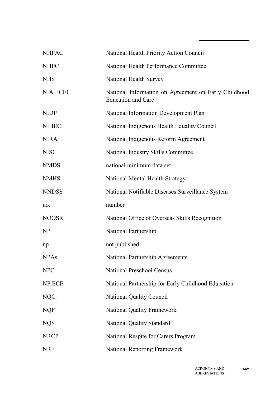| <b>NHPAC</b>    | National Health Priority Action Council                                           |
|-----------------|-----------------------------------------------------------------------------------|
| <b>NHPC</b>     | National Health Performance Committee                                             |
| <b>NHS</b>      | National Health Survey                                                            |
| <b>NIA ECEC</b> | National Information on Agreement on Early Childhood<br><b>Education and Care</b> |
| <b>NIDP</b>     | National Information Development Plan                                             |
| <b>NIHEC</b>    | National Indigenous Health Equality Council                                       |
| <b>NIRA</b>     | National Indigenous Reform Agreement                                              |
| <b>NISC</b>     | National Industry Skills Committee                                                |
| <b>NMDS</b>     | national minimum data set                                                         |
| <b>NMHS</b>     | National Mental Health Strategy                                                   |
| <b>NNDSS</b>    | National Notifiable Diseases Surveillance System                                  |
| no.             | number                                                                            |
| <b>NOOSR</b>    | National Office of Overseas Skills Recognition                                    |
| <b>NP</b>       | National Partnership                                                              |
| np              | not published                                                                     |
| <b>NPAs</b>     | <b>National Partnership Agreements</b>                                            |
| <b>NPC</b>      | <b>National Preschool Census</b>                                                  |
| NP ECE          | National Partnership for Early Childhood Education                                |
| <b>NQC</b>      | <b>National Quality Council</b>                                                   |
| <b>NQF</b>      | <b>National Quality Framework</b>                                                 |
| <b>NQS</b>      | National Quality Standard                                                         |
| <b>NRCP</b>     | National Respite for Carers Program                                               |
| <b>NRF</b>      | <b>National Reporting Framework</b>                                               |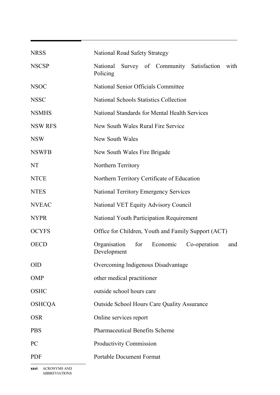| <b>NRSS</b>    | National Road Safety Strategy                                         |
|----------------|-----------------------------------------------------------------------|
| <b>NSCSP</b>   | National<br>Survey of Community Satisfaction<br>with<br>Policing      |
| <b>NSOC</b>    | National Senior Officials Committee                                   |
| <b>NSSC</b>    | <b>National Schools Statistics Collection</b>                         |
| <b>NSMHS</b>   | National Standards for Mental Health Services                         |
| <b>NSW RFS</b> | New South Wales Rural Fire Service                                    |
| <b>NSW</b>     | New South Wales                                                       |
| <b>NSWFB</b>   | New South Wales Fire Brigade                                          |
| NT             | Northern Territory                                                    |
| <b>NTCE</b>    | Northern Territory Certificate of Education                           |
| <b>NTES</b>    | <b>National Territory Emergency Services</b>                          |
| <b>NVEAC</b>   | National VET Equity Advisory Council                                  |
| <b>NYPR</b>    | National Youth Participation Requirement                              |
| <b>OCYFS</b>   | Office for Children, Youth and Family Support (ACT)                   |
| <b>OECD</b>    | Organisation<br>for<br>Economic<br>Co-operation<br>and<br>Development |
| <b>OID</b>     | Overcoming Indigenous Disadvantage                                    |
| <b>OMP</b>     | other medical practitioner                                            |
| <b>OSHC</b>    | outside school hours care                                             |
| <b>OSHCQA</b>  | <b>Outside School Hours Care Quality Assurance</b>                    |
| <b>OSR</b>     | Online services report                                                |
| <b>PBS</b>     | <b>Pharmaceutical Benefits Scheme</b>                                 |
| P <sub>C</sub> | Productivity Commission                                               |
| <b>PDF</b>     | <b>Portable Document Format</b>                                       |

**xxvi** ACRONYMS AND ABBREVIATIONS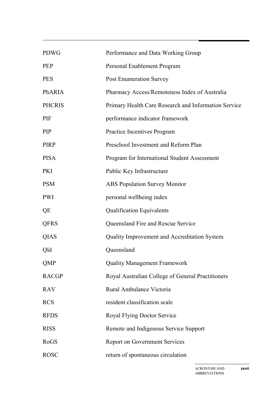| <b>PDWG</b>   | Performance and Data Working Group                   |
|---------------|------------------------------------------------------|
| <b>PEP</b>    | Personal Enablement Program                          |
| <b>PES</b>    | <b>Post Enumeration Survey</b>                       |
| PhARIA        | Pharmacy Access/Remoteness Index of Australia        |
| <b>PHCRIS</b> | Primary Health Care Research and Information Service |
| PIF           | performance indicator framework                      |
| PIP           | Practice Incentives Program                          |
| <b>PIRP</b>   | Preschool Investment and Reform Plan                 |
| <b>PISA</b>   | Program for International Student Assessment         |
| <b>PKI</b>    | Public Key Infrastructure                            |
| <b>PSM</b>    | <b>ABS Population Survey Monitor</b>                 |
| PWI           | personal wellbeing index                             |
| QE            | <b>Qualification Equivalents</b>                     |
| <b>QFRS</b>   | Queensland Fire and Rescue Service                   |
| <b>QIAS</b>   | <b>Quality Improvement and Accreditation System</b>  |
| Qld           | Queensland                                           |
| <b>QMP</b>    | <b>Quality Management Framework</b>                  |
| <b>RACGP</b>  | Royal Australian College of General Practitioners    |
| <b>RAV</b>    | Rural Ambulance Victoria                             |
| <b>RCS</b>    | resident classification scale                        |
| <b>RFDS</b>   | Royal Flying Doctor Service                          |
| <b>RISS</b>   | Remote and Indigenous Service Support                |
| RoGS          | <b>Report on Government Services</b>                 |
| <b>ROSC</b>   | return of spontaneous circulation                    |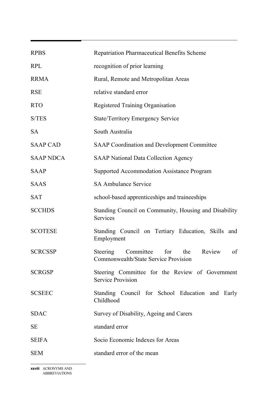| <b>RPBS</b>      | <b>Repatriation Pharmaceutical Benefits Scheme</b>                                          |
|------------------|---------------------------------------------------------------------------------------------|
| <b>RPL</b>       | recognition of prior learning                                                               |
| <b>RRMA</b>      | Rural, Remote and Metropolitan Areas                                                        |
| <b>RSE</b>       | relative standard error                                                                     |
| <b>RTO</b>       | Registered Training Organisation                                                            |
| S/TES            | <b>State/Territory Emergency Service</b>                                                    |
| <b>SA</b>        | South Australia                                                                             |
| <b>SAAP CAD</b>  | <b>SAAP Coordination and Development Committee</b>                                          |
| <b>SAAP NDCA</b> | <b>SAAP National Data Collection Agency</b>                                                 |
| <b>SAAP</b>      | <b>Supported Accommodation Assistance Program</b>                                           |
| <b>SAAS</b>      | <b>SA Ambulance Service</b>                                                                 |
| <b>SAT</b>       | school-based apprenticeships and traineeships                                               |
| <b>SCCHDS</b>    | Standing Council on Community, Housing and Disability<br>Services                           |
| <b>SCOTESE</b>   | Standing Council on Tertiary Education, Skills and<br>Employment                            |
| <b>SCRCSSP</b>   | Steering<br>Review<br>of<br>Committee<br>for<br>the<br>Commonwealth/State Service Provision |
| <b>SCRGSP</b>    | Steering Committee for the Review of Government<br><b>Service Provision</b>                 |
| <b>SCSEEC</b>    | Standing Council for School Education and Early<br>Childhood                                |
| <b>SDAC</b>      | Survey of Disability, Ageing and Carers                                                     |
| <b>SE</b>        | standard error                                                                              |
| <b>SEIFA</b>     | Socio Economic Indexes for Areas                                                            |
| <b>SEM</b>       | standard error of the mean                                                                  |

**xxviii** ACRONYMS AND ABBREVIATIONS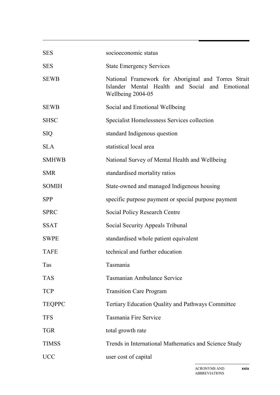| <b>SES</b>    | socioeconomic status                                                                                                        |
|---------------|-----------------------------------------------------------------------------------------------------------------------------|
| <b>SES</b>    | <b>State Emergency Services</b>                                                                                             |
| <b>SEWB</b>   | National Framework for Aboriginal and Torres Strait<br>Islander Mental Health and Social and Emotional<br>Wellbeing 2004-05 |
| <b>SEWB</b>   | Social and Emotional Wellbeing                                                                                              |
| <b>SHSC</b>   | Specialist Homelessness Services collection                                                                                 |
| <b>SIQ</b>    | standard Indigenous question                                                                                                |
| <b>SLA</b>    | statistical local area                                                                                                      |
| <b>SMHWB</b>  | National Survey of Mental Health and Wellbeing                                                                              |
| <b>SMR</b>    | standardised mortality ratios                                                                                               |
| <b>SOMIH</b>  | State-owned and managed Indigenous housing                                                                                  |
| <b>SPP</b>    | specific purpose payment or special purpose payment                                                                         |
| <b>SPRC</b>   | <b>Social Policy Research Centre</b>                                                                                        |
| <b>SSAT</b>   | Social Security Appeals Tribunal                                                                                            |
| <b>SWPE</b>   | standardised whole patient equivalent                                                                                       |
| <b>TAFE</b>   | technical and further education                                                                                             |
| Tas           | Tasmania                                                                                                                    |
| <b>TAS</b>    | <b>Tasmanian Ambulance Service</b>                                                                                          |
| <b>TCP</b>    | <b>Transition Care Program</b>                                                                                              |
| <b>TEQPPC</b> | <b>Tertiary Education Quality and Pathways Committee</b>                                                                    |
| <b>TFS</b>    | <b>Tasmania Fire Service</b>                                                                                                |
| <b>TGR</b>    | total growth rate                                                                                                           |
| <b>TIMSS</b>  | Trends in International Mathematics and Science Study                                                                       |
| <b>UCC</b>    | user cost of capital                                                                                                        |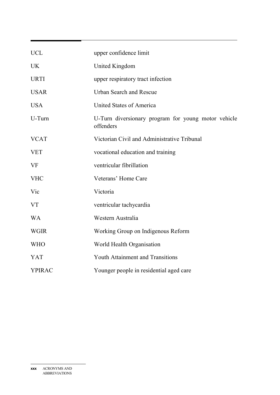| <b>UCL</b>    | upper confidence limit                                           |
|---------------|------------------------------------------------------------------|
| <b>UK</b>     | United Kingdom                                                   |
| <b>URTI</b>   | upper respiratory tract infection                                |
| <b>USAR</b>   | <b>Urban Search and Rescue</b>                                   |
| <b>USA</b>    | United States of America                                         |
| U-Turn        | U-Turn diversionary program for young motor vehicle<br>offenders |
| <b>VCAT</b>   | Victorian Civil and Administrative Tribunal                      |
| <b>VET</b>    | vocational education and training                                |
| <b>VF</b>     | ventricular fibrillation                                         |
| <b>VHC</b>    | Veterans' Home Care                                              |
| Vic           | Victoria                                                         |
| <b>VT</b>     | ventricular tachycardia                                          |
| <b>WA</b>     | Western Australia                                                |
| <b>WGIR</b>   | Working Group on Indigenous Reform                               |
| <b>WHO</b>    | World Health Organisation                                        |
| <b>YAT</b>    | <b>Youth Attainment and Transitions</b>                          |
| <b>YPIRAC</b> | Younger people in residential aged care                          |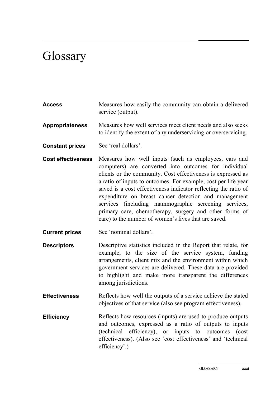## **Glossary**

- **Access** Measures how easily the community can obtain a delivered service (output).
- **Appropriateness** Measures how well services meet client needs and also seeks to identify the extent of any underservicing or overservicing.
- **Constant prices** See 'real dollars'.
- **Cost effectiveness** Measures how well inputs (such as employees, cars and computers) are converted into outcomes for individual clients or the community. Cost effectiveness is expressed as a ratio of inputs to outcomes. For example, cost per life year saved is a cost effectiveness indicator reflecting the ratio of expenditure on breast cancer detection and management services (including mammographic screening services, primary care, chemotherapy, surgery and other forms of care) to the number of women's lives that are saved.
- **Current prices** See 'nominal dollars'.
- **Descriptors** Descriptive statistics included in the Report that relate, for example, to the size of the service system, funding arrangements, client mix and the environment within which government services are delivered. These data are provided to highlight and make more transparent the differences among jurisdictions.
- **Effectiveness** Reflects how well the outputs of a service achieve the stated objectives of that service (also see program effectiveness).
- **Efficiency** Reflects how resources (inputs) are used to produce outputs and outcomes, expressed as a ratio of outputs to inputs (technical efficiency), or inputs to outcomes (cost effectiveness). (Also see 'cost effectiveness' and 'technical efficiency'.)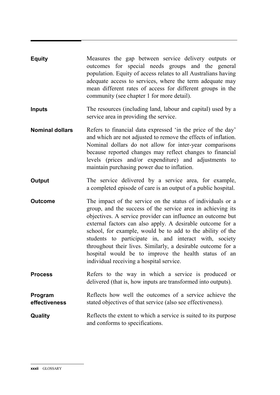| <b>Equity</b>            | Measures the gap between service delivery outputs or<br>outcomes for special needs groups and the general<br>population. Equity of access relates to all Australians having<br>adequate access to services, where the term adequate may<br>mean different rates of access for different groups in the<br>community (see chapter 1 for more detail).                                                                                                                                                                                                 |
|--------------------------|-----------------------------------------------------------------------------------------------------------------------------------------------------------------------------------------------------------------------------------------------------------------------------------------------------------------------------------------------------------------------------------------------------------------------------------------------------------------------------------------------------------------------------------------------------|
| <b>Inputs</b>            | The resources (including land, labour and capital) used by a<br>service area in providing the service.                                                                                                                                                                                                                                                                                                                                                                                                                                              |
| <b>Nominal dollars</b>   | Refers to financial data expressed 'in the price of the day'<br>and which are not adjusted to remove the effects of inflation.<br>Nominal dollars do not allow for inter-year comparisons<br>because reported changes may reflect changes to financial<br>levels (prices and/or expenditure) and adjustments to<br>maintain purchasing power due to inflation.                                                                                                                                                                                      |
| <b>Output</b>            | The service delivered by a service area, for example,<br>a completed episode of care is an output of a public hospital.                                                                                                                                                                                                                                                                                                                                                                                                                             |
| <b>Outcome</b>           | The impact of the service on the status of individuals or a<br>group, and the success of the service area in achieving its<br>objectives. A service provider can influence an outcome but<br>external factors can also apply. A desirable outcome for a<br>school, for example, would be to add to the ability of the<br>students to participate in, and interact with, society<br>throughout their lives. Similarly, a desirable outcome for a<br>hospital would be to improve the health status of an<br>individual receiving a hospital service. |
| <b>Process</b>           | Refers to the way in which a service is produced or<br>delivered (that is, how inputs are transformed into outputs).                                                                                                                                                                                                                                                                                                                                                                                                                                |
| Program<br>effectiveness | Reflects how well the outcomes of a service achieve the<br>stated objectives of that service (also see effectiveness).                                                                                                                                                                                                                                                                                                                                                                                                                              |
| Quality                  | Reflects the extent to which a service is suited to its purpose<br>and conforms to specifications.                                                                                                                                                                                                                                                                                                                                                                                                                                                  |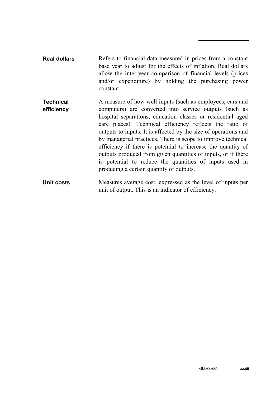| <b>Real dollars</b>            | Refers to financial data measured in prices from a constant<br>base year to adjust for the effects of inflation. Real dollars<br>allow the inter-year comparison of financial levels (prices<br>and/or expenditure) by holding the purchasing power<br>constant.                                                                                                                                                                                                                                                                                                                                                          |
|--------------------------------|---------------------------------------------------------------------------------------------------------------------------------------------------------------------------------------------------------------------------------------------------------------------------------------------------------------------------------------------------------------------------------------------------------------------------------------------------------------------------------------------------------------------------------------------------------------------------------------------------------------------------|
| <b>Technical</b><br>efficiency | A measure of how well inputs (such as employees, cars and<br>computers) are converted into service outputs (such as<br>hospital separations, education classes or residential aged<br>care places). Technical efficiency reflects the ratio of<br>outputs to inputs. It is affected by the size of operations and<br>by managerial practices. There is scope to improve technical<br>efficiency if there is potential to increase the quantity of<br>outputs produced from given quantities of inputs, or if there<br>is potential to reduce the quantities of inputs used in<br>producing a certain quantity of outputs. |
| Unit costs                     | Measures average cost, expressed as the level of inputs per<br>unit of output. This is an indicator of efficiency.                                                                                                                                                                                                                                                                                                                                                                                                                                                                                                        |